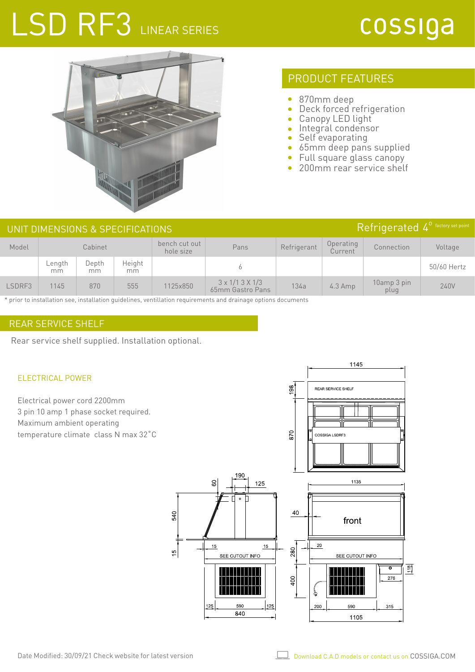# LSD RF3 LINEAR SERIES

## cossiga



## PRODUCT FEATURES

- $\bullet$ 870mm deep
- Deck forced refrigeration  $\bullet$
- Canopy LED light
- Integral condensor
- Self evaporating  $\bullet$
- 65mm deep pans supplied  $\bullet$
- Full square glass canopy  $\bullet$
- 200mm rear service shelf ä

| Refrigerated 4 <sup>0</sup> factory set point<br>UNIT DIMENSIONS & SPECIFICATIONS |              |             |              |                            |                                                |             |                      |                     |             |
|-----------------------------------------------------------------------------------|--------------|-------------|--------------|----------------------------|------------------------------------------------|-------------|----------------------|---------------------|-------------|
| Model                                                                             |              | Cabinet     |              | bench cut out<br>hole size | Pans                                           | Refrigerant | Operating<br>Current | Connection          | Voltage     |
|                                                                                   | Length<br>mm | Depth<br>mm | Height<br>mm |                            |                                                |             |                      |                     | 50/60 Hertz |
| LSDRF3                                                                            | 1145         | 870         | 555          | 1125x850                   | $3 \times 1/13 \times 1/3$<br>65mm Gastro Pans | 134a        | $4.3$ Amp            | 10amp 3 pin<br>plug | 240V        |

\* prior to installation see, installation guidelines, ventillation requirements and drainage options documents

### REAR SERVICE SHELF

Rear service shelf supplied. Installation optional.

#### ELECTRICAL POWER

Electrical power cord 2200mm 3 pin 10 amp 1 phase socket required. Maximum ambient operating temperature climate class N max 32˚C



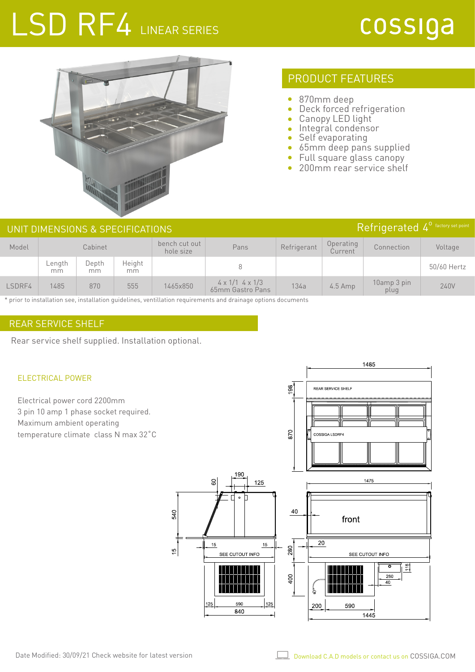# LSD RF4 LINEAR SERIES

## cossiga



### PRODUCT FEATURES

- $\bullet$ 870mm deep
- Deck forced refrigeration  $\bullet$
- Canopy LED light
- Integral condensor
- Self evaporating  $\bullet$
- 65mm deep pans supplied  $\bullet$
- Full square glass canopy  $\bullet$
- 200mm rear service shelf ò

| UNIT DIMENSIONS & SPECIFICATIONS |              |             |              |                            |                                                   |             |                      |                     | Refrigerated 4 <sup>0</sup> factory set point |  |
|----------------------------------|--------------|-------------|--------------|----------------------------|---------------------------------------------------|-------------|----------------------|---------------------|-----------------------------------------------|--|
| Model                            |              | Cabinet     |              | bench cut out<br>hole size | Pans                                              | Refrigerant | Operating<br>Current | Connection          | Voltage                                       |  |
|                                  | Length<br>mm | Depth<br>mm | Height<br>mm |                            |                                                   |             |                      |                     | 50/60 Hertz                                   |  |
| LSDRF4                           | 1485         | 870         | 555          | 1465x850                   | $4 \times 1/1$ 4 $\times$ 1/3<br>65mm Gastro Pans | 134a        | $4.5$ Amp            | 10amp 3 pin<br>plug | 240V                                          |  |

\* prior to installation see, installation guidelines, ventillation requirements and drainage options documents

### REAR SERVICE SHELF

Rear service shelf supplied. Installation optional.

#### ELECTRICAL POWER

Electrical power cord 2200mm 3 pin 10 amp 1 phase socket required. Maximum ambient operating temperature climate class N max 32˚C





Ł

200

1445

590